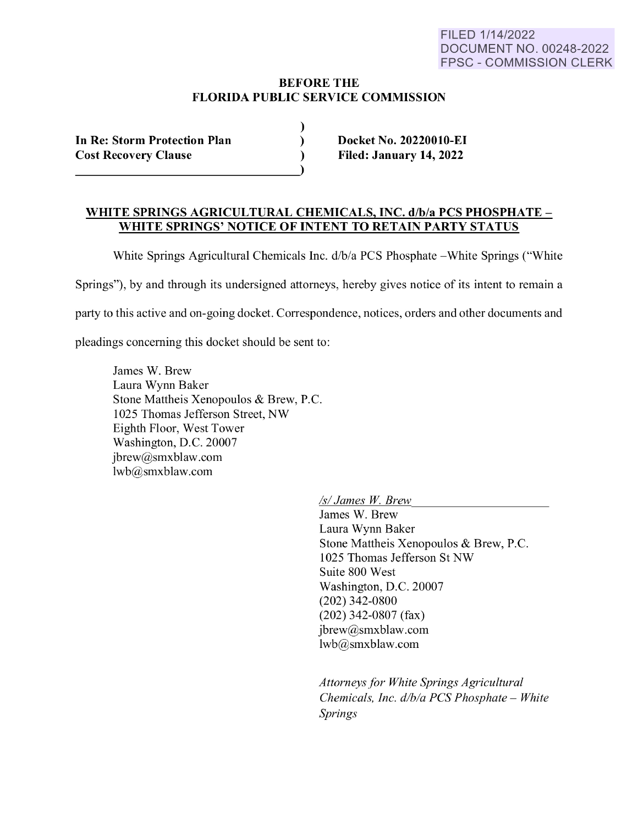## **BEFORE THE FLORIDA PUBLIC SERVICE COMMISSION**

) )  $\lambda$ 

| <b>In Re: Storm Protection Plan</b> |  |
|-------------------------------------|--|
| <b>Cost Recovery Clause</b>         |  |

**Docket No. 20220010-EI Filed: January 14, 2022** 

## **WHITE SPRINGS AGRICULTURAL CHEMICALS, INC. d/b/a PCS PHOSPHATE** - **WHITE SPRINGS' NOTICE OF INTENT TO RETAIN PARTY STATUS**

White Springs Agricultural Chemicals Inc.  $d/b/a$  PCS Phosphate - White Springs ("White

Springs"), by and through its undersigned attorneys, hereby gives notice of its intent to remain a

party to this active and on-going docket. Correspondence, notices, orders and other documents and

pleadings concerning this docket should be sent to:

James W. Brew Laura Wynn Baker Stone Mattheis Xenopoulos & Brew, P.C. 1025 Thomas Jefferson Street, NW Eighth Floor, West Tower Washington, D.C. 20007 jbrew@smxblaw.com lwb@smxblaw.com

*Isl James W. Brew* 

James W. Brew Laura Wynn Baker Stone Mattheis Xenopoulos & Brew, P.C. 1025 Thomas Jefferson St NW Suite 800 West Washington, D.C. 20007 (202) 342-0800 (202) 342-0807 (fax) jbrew@smxblaw.com lwb@smxblaw.com

*Attorneys for White Springs Agricultural Chemicals, Inc. d/b/a PCS Phosphate - White Springs*